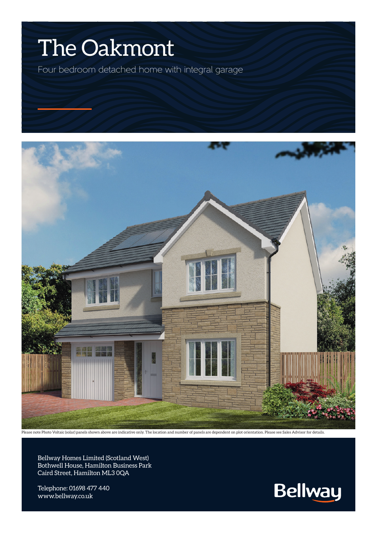## The Oakmont

Four bedroom detached home with integral garage



Please note Photo Voltaic (solar) panels shown above are indicative only. The location and number of panels are dependent on plot orientation. Please see Sales Advisor for details.

Bellway Homes Limited (Scotland West) Bothwell House, Hamilton Business Park Caird Street, Hamilton ML3 0QA

Telephone: 01698 477 440 www.bellway.co.uk